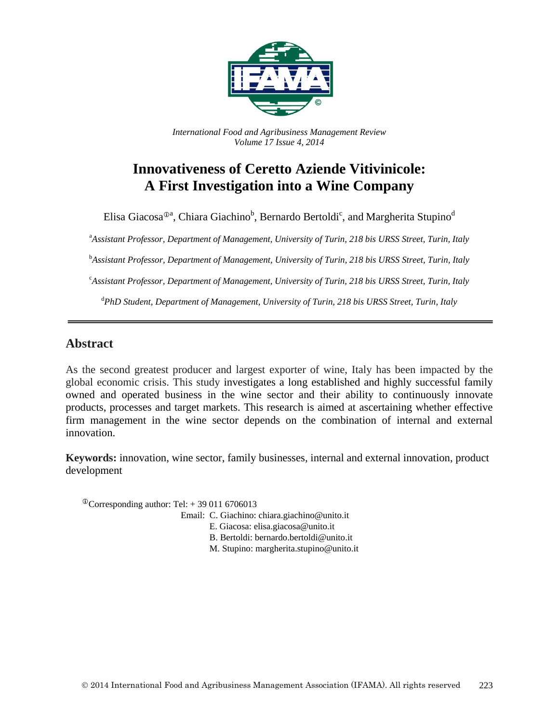

*International Food and Agribusiness Management Review Volume 17 Issue 4, 2014*

# **Innovativeness of Ceretto Aziende Vitivinicole: A First Investigation into a Wine Company**

Elisa Giacosa $^{\oplus$ a, Chiara Giachino $^{\rm b}$ , Bernardo Bertoldi $^{\rm c}$ , and Margherita Stupino $^{\rm d}$ 

a *Assistant Professor, Department of Management, University of Turin, 218 bis URSS Street, Turin, Italy*

b *Assistant Professor, Department of Management, University of Turin, 218 bis URSS Street, Turin, Italy*

c *Assistant Professor, Department of Management, University of Turin, 218 bis URSS Street, Turin, Italy*

d *PhD Student, Department of Management, University of Turin, 218 bis URSS Street, Turin, Italy*

## **Abstract**

As the second greatest producer and largest exporter of wine, Italy has been impacted by the global economic crisis. This study investigates a long established and highly successful family owned and operated business in the wine sector and their ability to continuously innovate products, processes and target markets. This research is aimed at ascertaining whether effective firm management in the wine sector depends on the combination of internal and external innovation.

**Keywords:** innovation, wine sector, family businesses, internal and external innovation, product development

<sup> $\Phi$ </sup>Corresponding author: Tel: +39 011 6706013

Email: C. Giachino: chiara.giachino@unito.it

E. Giacosa: elisa.giacosa@unito.it

B. Bertoldi: bernardo.bertoldi@unito.it

M. Stupino: margherita.stupino@unito.it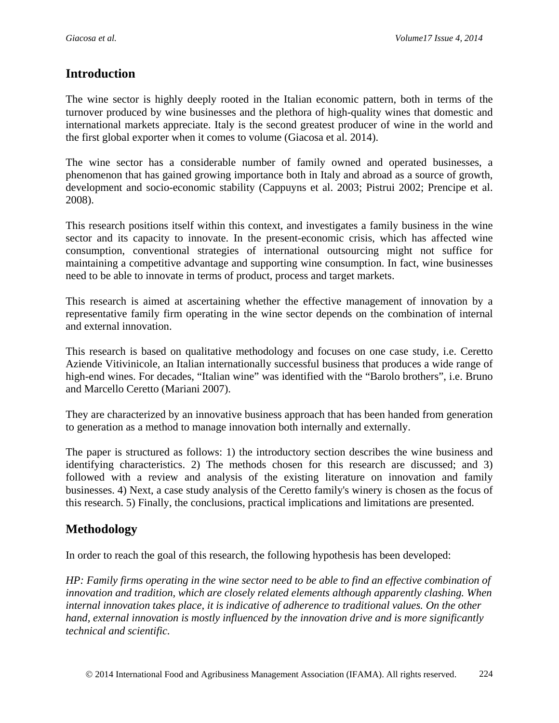## **Introduction**

The wine sector is highly deeply rooted in the Italian economic pattern, both in terms of the turnover produced by wine businesses and the plethora of high-quality wines that domestic and international markets appreciate. Italy is the second greatest producer of wine in the world and the first global exporter when it comes to volume (Giacosa et al. 2014).

The wine sector has a considerable number of family owned and operated businesses, a phenomenon that has gained growing importance both in Italy and abroad as a source of growth, development and socio-economic stability (Cappuyns et al. 2003; Pistrui 2002; Prencipe et al. 2008).

This research positions itself within this context, and investigates a family business in the wine sector and its capacity to innovate. In the present-economic crisis, which has affected wine consumption, conventional strategies of international outsourcing might not suffice for maintaining a competitive advantage and supporting wine consumption. In fact, wine businesses need to be able to innovate in terms of product, process and target markets.

This research is aimed at ascertaining whether the effective management of innovation by a representative family firm operating in the wine sector depends on the combination of internal and external innovation.

This research is based on qualitative methodology and focuses on one case study, i.e. Ceretto Aziende Vitivinicole, an Italian internationally successful business that produces a wide range of high-end wines. For decades, "Italian wine" was identified with the "Barolo brothers", i.e. Bruno and Marcello Ceretto (Mariani 2007).

They are characterized by an innovative business approach that has been handed from generation to generation as a method to manage innovation both internally and externally.

The paper is structured as follows: 1) the introductory section describes the wine business and identifying characteristics. 2) The methods chosen for this research are discussed; and 3) followed with a review and analysis of the existing literature on innovation and family businesses. 4) Next, a case study analysis of the Ceretto family's winery is chosen as the focus of this research. 5) Finally, the conclusions, practical implications and limitations are presented.

# **Methodology**

In order to reach the goal of this research, the following hypothesis has been developed:

*HP: Family firms operating in the wine sector need to be able to find an effective combination of innovation and tradition, which are closely related elements although apparently clashing. When internal innovation takes place, it is indicative of adherence to traditional values. On the other hand, external innovation is mostly influenced by the innovation drive and is more significantly technical and scientific.*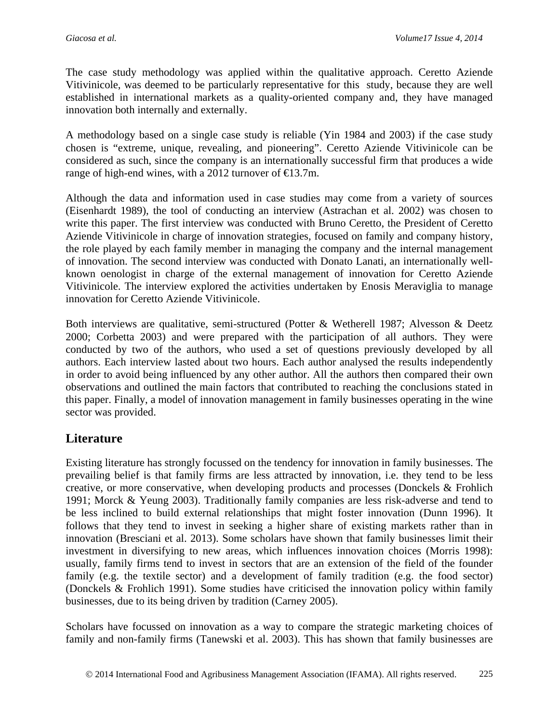The case study methodology was applied within the qualitative approach. Ceretto Aziende Vitivinicole, was deemed to be particularly representative for this study, because they are well established in international markets as a quality-oriented company and, they have managed innovation both internally and externally.

A methodology based on a single case study is reliable (Yin 1984 and 2003) if the case study chosen is "extreme, unique, revealing, and pioneering". Ceretto Aziende Vitivinicole can be considered as such, since the company is an internationally successful firm that produces a wide range of high-end wines, with a 2012 turnover of  $\text{E}3.7m$ .

Although the data and information used in case studies may come from a variety of sources (Eisenhardt 1989), the tool of conducting an interview (Astrachan et al. 2002) was chosen to write this paper. The first interview was conducted with Bruno Ceretto, the President of Ceretto Aziende Vitivinicole in charge of innovation strategies, focused on family and company history, the role played by each family member in managing the company and the internal management of innovation. The second interview was conducted with Donato Lanati, an internationally wellknown oenologist in charge of the external management of innovation for Ceretto Aziende Vitivinicole. The interview explored the activities undertaken by Enosis Meraviglia to manage innovation for Ceretto Aziende Vitivinicole.

Both interviews are qualitative, semi-structured (Potter & Wetherell 1987; Alvesson & Deetz 2000; Corbetta 2003) and were prepared with the participation of all authors. They were conducted by two of the authors, who used a set of questions previously developed by all authors. Each interview lasted about two hours. Each author analysed the results independently in order to avoid being influenced by any other author. All the authors then compared their own observations and outlined the main factors that contributed to reaching the conclusions stated in this paper. Finally, a model of innovation management in family businesses operating in the wine sector was provided.

# **Literature**

Existing literature has strongly focussed on the tendency for innovation in family businesses. The prevailing belief is that family firms are less attracted by innovation, i.e. they tend to be less creative, or more conservative, when developing products and processes (Donckels & Frohlich 1991; Morck & Yeung 2003). Traditionally family companies are less risk-adverse and tend to be less inclined to build external relationships that might foster innovation (Dunn 1996). It follows that they tend to invest in seeking a higher share of existing markets rather than in innovation (Bresciani et al. 2013). Some scholars have shown that family businesses limit their investment in diversifying to new areas, which influences innovation choices (Morris 1998): usually, family firms tend to invest in sectors that are an extension of the field of the founder family (e.g. the textile sector) and a development of family tradition (e.g. the food sector) (Donckels & Frohlich 1991). Some studies have criticised the innovation policy within family businesses, due to its being driven by tradition (Carney 2005).

Scholars have focussed on innovation as a way to compare the strategic marketing choices of family and non-family firms (Tanewski et al. 2003). This has shown that family businesses are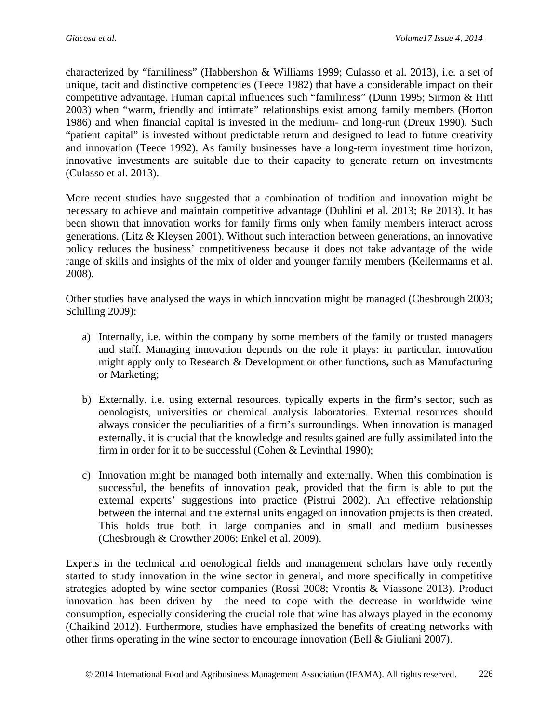characterized by "familiness" (Habbershon & Williams 1999; Culasso et al. 2013), i.e. a set of unique, tacit and distinctive competencies (Teece 1982) that have a considerable impact on their competitive advantage. Human capital influences such "familiness" (Dunn 1995; Sirmon & Hitt 2003) when "warm, friendly and intimate" relationships exist among family members (Horton 1986) and when financial capital is invested in the medium- and long-run (Dreux 1990). Such "patient capital" is invested without predictable return and designed to lead to future creativity and innovation (Teece 1992). As family businesses have a long-term investment time horizon, innovative investments are suitable due to their capacity to generate return on investments (Culasso et al. 2013).

More recent studies have suggested that a combination of tradition and innovation might be necessary to achieve and maintain competitive advantage (Dublini et al. 2013; Re 2013). It has been shown that innovation works for family firms only when family members interact across generations. (Litz & Kleysen 2001). Without such interaction between generations, an innovative policy reduces the business' competitiveness because it does not take advantage of the wide range of skills and insights of the mix of older and younger family members (Kellermanns et al. 2008).

Other studies have analysed the ways in which innovation might be managed (Chesbrough 2003; Schilling 2009):

- a) Internally, i.e. within the company by some members of the family or trusted managers and staff. Managing innovation depends on the role it plays: in particular, innovation might apply only to Research & Development or other functions, such as Manufacturing or Marketing;
- b) Externally, i.e. using external resources, typically experts in the firm's sector, such as oenologists, universities or chemical analysis laboratories. External resources should always consider the peculiarities of a firm's surroundings. When innovation is managed externally, it is crucial that the knowledge and results gained are fully assimilated into the firm in order for it to be successful (Cohen & Levinthal 1990);
- c) Innovation might be managed both internally and externally. When this combination is successful, the benefits of innovation peak, provided that the firm is able to put the external experts' suggestions into practice (Pistrui 2002). An effective relationship between the internal and the external units engaged on innovation projects is then created. This holds true both in large companies and in small and medium businesses (Chesbrough & Crowther 2006; Enkel et al. 2009).

Experts in the technical and oenological fields and management scholars have only recently started to study innovation in the wine sector in general, and more specifically in competitive strategies adopted by wine sector companies (Rossi 2008; Vrontis & Viassone 2013). Product innovation has been driven by the need to cope with the decrease in worldwide wine consumption, especially considering the crucial role that wine has always played in the economy (Chaikind 2012). Furthermore, studies have emphasized the benefits of creating networks with other firms operating in the wine sector to encourage innovation (Bell & Giuliani 2007).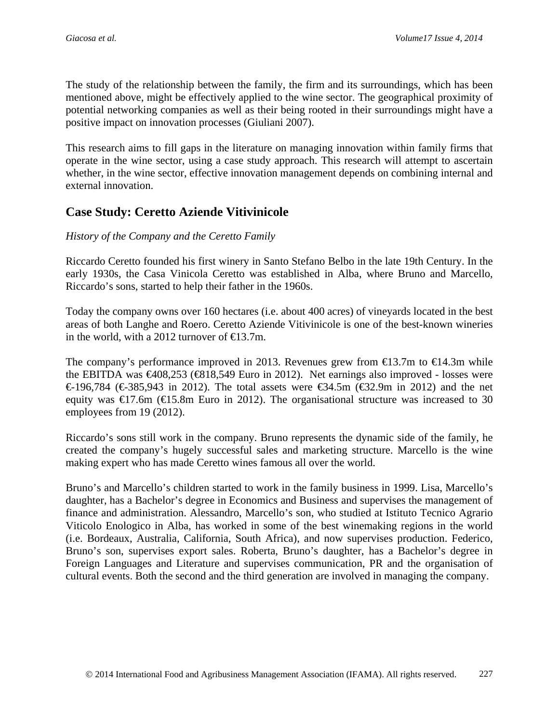The study of the relationship between the family, the firm and its surroundings, which has been mentioned above, might be effectively applied to the wine sector. The geographical proximity of potential networking companies as well as their being rooted in their surroundings might have a positive impact on innovation processes (Giuliani 2007).

This research aims to fill gaps in the literature on managing innovation within family firms that operate in the wine sector, using a case study approach. This research will attempt to ascertain whether, in the wine sector, effective innovation management depends on combining internal and external innovation.

## **Case Study: Ceretto Aziende Vitivinicole**

### *History of the Company and the Ceretto Family*

Riccardo Ceretto founded his first winery in Santo Stefano Belbo in the late 19th Century. In the early 1930s, the Casa Vinicola Ceretto was established in Alba, where Bruno and Marcello, Riccardo's sons, started to help their father in the 1960s.

Today the company owns over 160 hectares (i.e. about 400 acres) of vineyards located in the best areas of both Langhe and Roero. Ceretto Aziende Vitivinicole is one of the best-known wineries in the world, with a 2012 turnover of  $\text{E}3.7m$ .

The company's performance improved in 2013. Revenues grew from  $\bigoplus$  3.7m to  $\bigoplus$  4.3m while the EBITDA was  $\bigoplus 08,253 \bigoplus 18,549$  Euro in 2012). Net earnings also improved - losses were €196,784 (€385,943 in 2012). The total assets were  $€34.5m$  (€32.9m in 2012) and the net equity was  $\bigoplus$  7.6m ( $\bigoplus$  5.8m Euro in 2012). The organisational structure was increased to 30 employees from 19 (2012).

Riccardo's sons still work in the company. Bruno represents the dynamic side of the family, he created the company's hugely successful sales and marketing structure. Marcello is the wine making expert who has made Ceretto wines famous all over the world.

Bruno's and Marcello's children started to work in the family business in 1999. Lisa, Marcello's daughter, has a Bachelor's degree in Economics and Business and supervises the management of finance and administration. Alessandro, Marcello's son, who studied at Istituto Tecnico Agrario Viticolo Enologico in Alba, has worked in some of the best winemaking regions in the world (i.e. Bordeaux, Australia, California, South Africa), and now supervises production. Federico, Bruno's son, supervises export sales. Roberta, Bruno's daughter, has a Bachelor's degree in Foreign Languages and Literature and supervises communication, PR and the organisation of cultural events. Both the second and the third generation are involved in managing the company.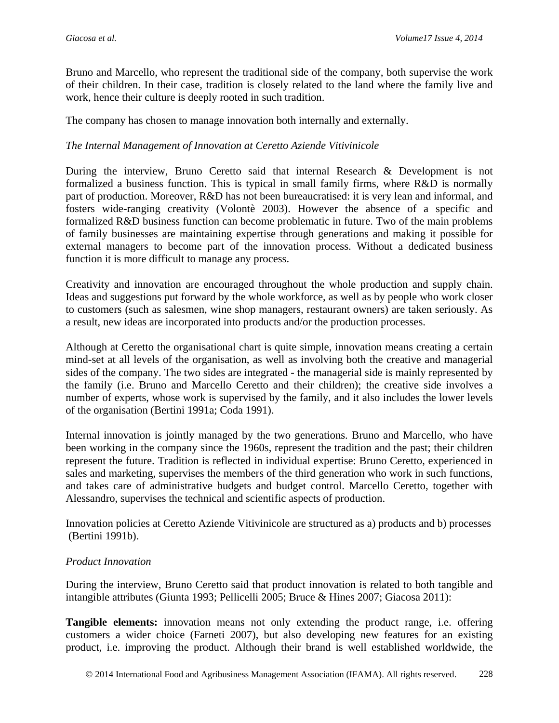Bruno and Marcello, who represent the traditional side of the company, both supervise the work of their children. In their case, tradition is closely related to the land where the family live and work, hence their culture is deeply rooted in such tradition.

The company has chosen to manage innovation both internally and externally.

#### *The Internal Management of Innovation at Ceretto Aziende Vitivinicole*

During the interview, Bruno Ceretto said that internal Research & Development is not formalized a business function. This is typical in small family firms, where R&D is normally part of production. Moreover, R&D has not been bureaucratised: it is very lean and informal, and fosters wide-ranging creativity (Volontè 2003). However the absence of a specific and formalized R&D business function can become problematic in future. Two of the main problems of family businesses are maintaining expertise through generations and making it possible for external managers to become part of the innovation process. Without a dedicated business function it is more difficult to manage any process.

Creativity and innovation are encouraged throughout the whole production and supply chain. Ideas and suggestions put forward by the whole workforce, as well as by people who work closer to customers (such as salesmen, wine shop managers, restaurant owners) are taken seriously. As a result, new ideas are incorporated into products and/or the production processes.

Although at Ceretto the organisational chart is quite simple, innovation means creating a certain mind-set at all levels of the organisation, as well as involving both the creative and managerial sides of the company. The two sides are integrated - the managerial side is mainly represented by the family (i.e. Bruno and Marcello Ceretto and their children); the creative side involves a number of experts, whose work is supervised by the family, and it also includes the lower levels of the organisation (Bertini 1991a; Coda 1991).

Internal innovation is jointly managed by the two generations. Bruno and Marcello, who have been working in the company since the 1960s, represent the tradition and the past; their children represent the future. Tradition is reflected in individual expertise: Bruno Ceretto, experienced in sales and marketing, supervises the members of the third generation who work in such functions, and takes care of administrative budgets and budget control. Marcello Ceretto, together with Alessandro, supervises the technical and scientific aspects of production.

Innovation policies at Ceretto Aziende Vitivinicole are structured as a) products and b) processes (Bertini 1991b).

#### *Product Innovation*

During the interview, Bruno Ceretto said that product innovation is related to both tangible and intangible attributes (Giunta 1993; Pellicelli 2005; Bruce & Hines 2007; Giacosa 2011):

**Tangible elements:** innovation means not only extending the product range, i.e. offering customers a wider choice (Farneti 2007), but also developing new features for an existing product, i.e. improving the product. Although their brand is well established worldwide, the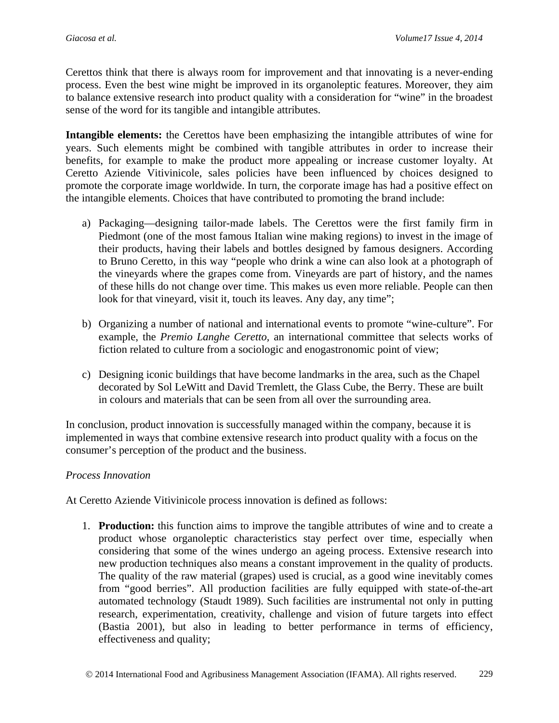Cerettos think that there is always room for improvement and that innovating is a never-ending process. Even the best wine might be improved in its organoleptic features. Moreover, they aim to balance extensive research into product quality with a consideration for "wine" in the broadest sense of the word for its tangible and intangible attributes.

**Intangible elements:** the Cerettos have been emphasizing the intangible attributes of wine for years. Such elements might be combined with tangible attributes in order to increase their benefits, for example to make the product more appealing or increase customer loyalty. At Ceretto Aziende Vitivinicole, sales policies have been influenced by choices designed to promote the corporate image worldwide. In turn, the corporate image has had a positive effect on the intangible elements. Choices that have contributed to promoting the brand include:

- a) Packaging—designing tailor-made labels. The Cerettos were the first family firm in Piedmont (one of the most famous Italian wine making regions) to invest in the image of their products, having their labels and bottles designed by famous designers. According to Bruno Ceretto, in this way "people who drink a wine can also look at a photograph of the vineyards where the grapes come from. Vineyards are part of history, and the names of these hills do not change over time. This makes us even more reliable. People can then look for that vineyard, visit it, touch its leaves. Any day, any time";
- b) Organizing a number of national and international events to promote "wine-culture". For example, the *Premio Langhe Ceretto,* an international committee that selects works of fiction related to culture from a sociologic and enogastronomic point of view;
- c) Designing iconic buildings that have become landmarks in the area, such as the Chapel decorated by Sol LeWitt and David Tremlett, the Glass Cube, the Berry. These are built in colours and materials that can be seen from all over the surrounding area.

In conclusion, product innovation is successfully managed within the company, because it is implemented in ways that combine extensive research into product quality with a focus on the consumer's perception of the product and the business.

### *Process Innovation*

At Ceretto Aziende Vitivinicole process innovation is defined as follows:

1. **Production:** this function aims to improve the tangible attributes of wine and to create a product whose organoleptic characteristics stay perfect over time, especially when considering that some of the wines undergo an ageing process. Extensive research into new production techniques also means a constant improvement in the quality of products. The quality of the raw material (grapes) used is crucial, as a good wine inevitably comes from "good berries". All production facilities are fully equipped with state-of-the-art automated technology (Staudt 1989). Such facilities are instrumental not only in putting research, experimentation, creativity, challenge and vision of future targets into effect (Bastia 2001), but also in leading to better performance in terms of efficiency, effectiveness and quality;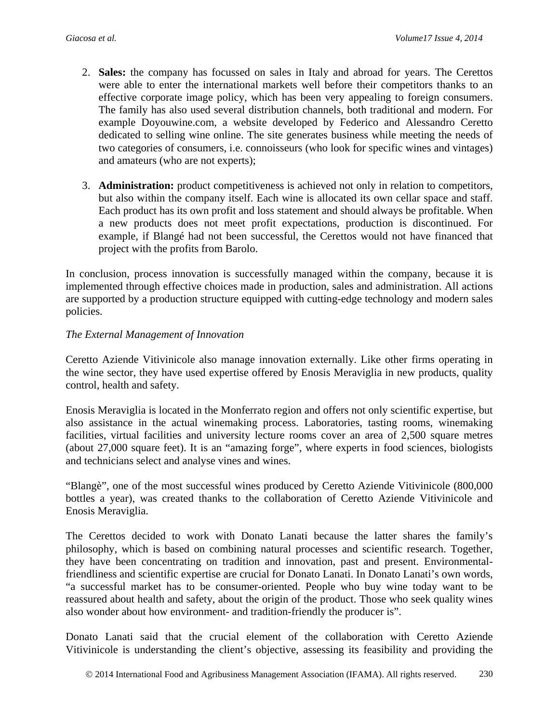- 2. **Sales:** the company has focussed on sales in Italy and abroad for years. The Cerettos were able to enter the international markets well before their competitors thanks to an effective corporate image policy, which has been very appealing to foreign consumers. The family has also used several distribution channels, both traditional and modern. For example Doyouwine.com, a website developed by Federico and Alessandro Ceretto dedicated to selling wine online. The site generates business while meeting the needs of two categories of consumers, i.e. connoisseurs (who look for specific wines and vintages) and amateurs (who are not experts);
- 3. **Administration:** product competitiveness is achieved not only in relation to competitors, but also within the company itself. Each wine is allocated its own cellar space and staff. Each product has its own profit and loss statement and should always be profitable. When a new products does not meet profit expectations, production is discontinued. For example, if Blangé had not been successful, the Cerettos would not have financed that project with the profits from Barolo.

In conclusion, process innovation is successfully managed within the company, because it is implemented through effective choices made in production, sales and administration. All actions are supported by a production structure equipped with cutting-edge technology and modern sales policies.

### *The External Management of Innovation*

Ceretto Aziende Vitivinicole also manage innovation externally. Like other firms operating in the wine sector, they have used expertise offered by Enosis Meraviglia in new products, quality control, health and safety.

Enosis Meraviglia is located in the Monferrato region and offers not only scientific expertise, but also assistance in the actual winemaking process. Laboratories, tasting rooms, winemaking facilities, virtual facilities and university lecture rooms cover an area of 2,500 square metres (about 27,000 square feet). It is an "amazing forge", where experts in food sciences, biologists and technicians select and analyse vines and wines.

"Blangè", one of the most successful wines produced by Ceretto Aziende Vitivinicole (800,000 bottles a year), was created thanks to the collaboration of Ceretto Aziende Vitivinicole and Enosis Meraviglia.

The Cerettos decided to work with Donato Lanati because the latter shares the family's philosophy, which is based on combining natural processes and scientific research. Together, they have been concentrating on tradition and innovation, past and present. Environmentalfriendliness and scientific expertise are crucial for Donato Lanati. In Donato Lanati's own words, "a successful market has to be consumer-oriented. People who buy wine today want to be reassured about health and safety, about the origin of the product. Those who seek quality wines also wonder about how environment- and tradition-friendly the producer is".

Donato Lanati said that the crucial element of the collaboration with Ceretto Aziende Vitivinicole is understanding the client's objective, assessing its feasibility and providing the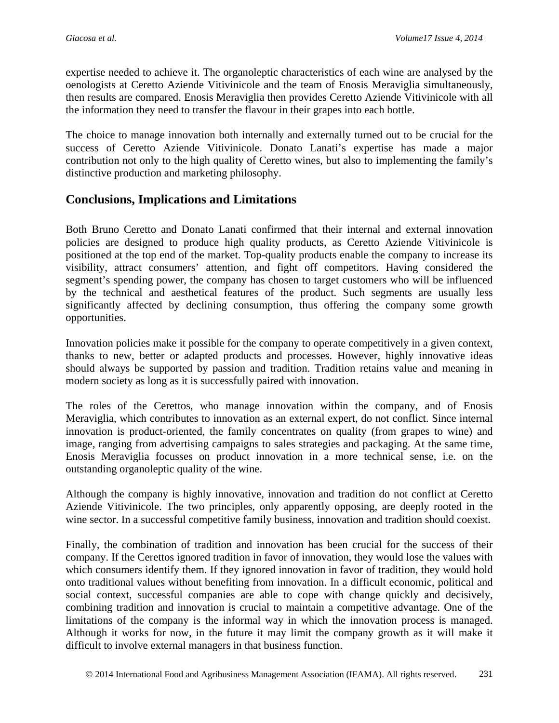expertise needed to achieve it. The organoleptic characteristics of each wine are analysed by the oenologists at Ceretto Aziende Vitivinicole and the team of Enosis Meraviglia simultaneously, then results are compared. Enosis Meraviglia then provides Ceretto Aziende Vitivinicole with all the information they need to transfer the flavour in their grapes into each bottle.

The choice to manage innovation both internally and externally turned out to be crucial for the success of Ceretto Aziende Vitivinicole. Donato Lanati's expertise has made a major contribution not only to the high quality of Ceretto wines, but also to implementing the family's distinctive production and marketing philosophy.

## **Conclusions, Implications and Limitations**

Both Bruno Ceretto and Donato Lanati confirmed that their internal and external innovation policies are designed to produce high quality products, as Ceretto Aziende Vitivinicole is positioned at the top end of the market. Top-quality products enable the company to increase its visibility, attract consumers' attention, and fight off competitors. Having considered the segment's spending power, the company has chosen to target customers who will be influenced by the technical and aesthetical features of the product. Such segments are usually less significantly affected by declining consumption, thus offering the company some growth opportunities.

Innovation policies make it possible for the company to operate competitively in a given context, thanks to new, better or adapted products and processes. However, highly innovative ideas should always be supported by passion and tradition. Tradition retains value and meaning in modern society as long as it is successfully paired with innovation.

The roles of the Cerettos, who manage innovation within the company, and of Enosis Meraviglia, which contributes to innovation as an external expert, do not conflict. Since internal innovation is product-oriented, the family concentrates on quality (from grapes to wine) and image, ranging from advertising campaigns to sales strategies and packaging. At the same time, Enosis Meraviglia focusses on product innovation in a more technical sense, i.e. on the outstanding organoleptic quality of the wine.

Although the company is highly innovative, innovation and tradition do not conflict at Ceretto Aziende Vitivinicole. The two principles, only apparently opposing, are deeply rooted in the wine sector. In a successful competitive family business, innovation and tradition should coexist.

Finally, the combination of tradition and innovation has been crucial for the success of their company. If the Cerettos ignored tradition in favor of innovation, they would lose the values with which consumers identify them. If they ignored innovation in favor of tradition, they would hold onto traditional values without benefiting from innovation. In a difficult economic, political and social context, successful companies are able to cope with change quickly and decisively, combining tradition and innovation is crucial to maintain a competitive advantage. One of the limitations of the company is the informal way in which the innovation process is managed. Although it works for now, in the future it may limit the company growth as it will make it difficult to involve external managers in that business function.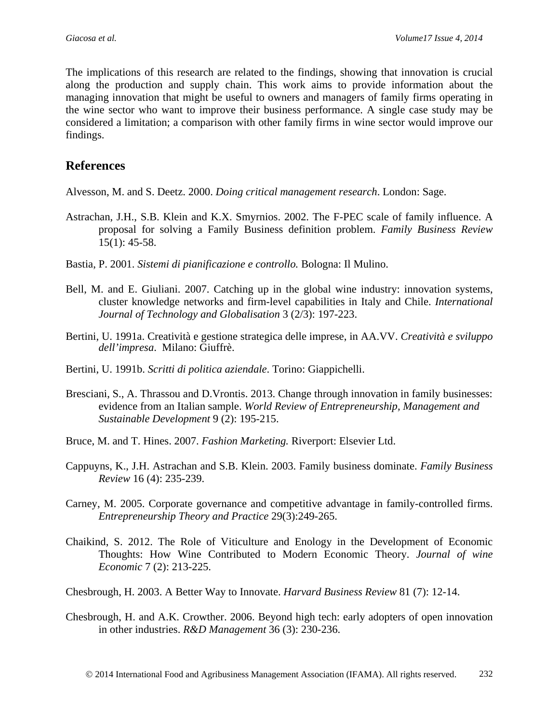The implications of this research are related to the findings, showing that innovation is crucial along the production and supply chain. This work aims to provide information about the managing innovation that might be useful to owners and managers of family firms operating in the wine sector who want to improve their business performance. A single case study may be considered a limitation; a comparison with other family firms in wine sector would improve our findings.

## **References**

Alvesson, M. and S. Deetz. 2000. *Doing critical management research*. London: Sage.

- Astrachan, J.H., S.B. Klein and K.X. Smyrnios. 2002. The F-PEC scale of family influence. A proposal for solving a Family Business definition problem. *Family Business Review* 15(1): 45-58.
- Bastia, P. 2001. *Sistemi di pianificazione e controllo.* Bologna: Il Mulino.
- Bell, M. and E. Giuliani. 2007. Catching up in the global wine industry: innovation systems, cluster knowledge networks and firm-level capabilities in Italy and Chile. *International Journal of Technology and Globalisation* 3 (2/3): 197-223.
- Bertini, U. 1991a. Creatività e gestione strategica delle imprese, in AA.VV. *Creatività e sviluppo dell'impresa*. Milano: Giuffrè.
- Bertini, U. 1991b. *Scritti di politica aziendale*. Torino: Giappichelli.
- Bresciani, S., A. Thrassou and D.Vrontis. 2013. Change through innovation in family businesses: evidence from an Italian sample. *World Review of Entrepreneurship, Management and Sustainable Development* 9 (2): 195-215.
- Bruce, M. and T. Hines. 2007. *Fashion Marketing.* Riverport: Elsevier Ltd.
- Cappuyns, K., J.H. Astrachan and S.B. Klein. 2003. Family business dominate. *Family Business Review* 16 (4): 235-239.
- Carney, M. 2005. Corporate governance and competitive advantage in family-controlled firms. *Entrepreneurship Theory and Practice* 29(3):249-265.
- Chaikind, S. 2012. The Role of Viticulture and Enology in the Development of Economic Thoughts: How Wine Contributed to Modern Economic Theory. *Journal of wine Economic* 7 (2): 213-225.

Chesbrough, H. 2003. A Better Way to Innovate. *Harvard Business Review* 81 (7): 12-14.

Chesbrough, H. and A.K. Crowther. 2006. Beyond high tech: early adopters of open innovation in other industries. *R&D Management* 36 (3): 230-236.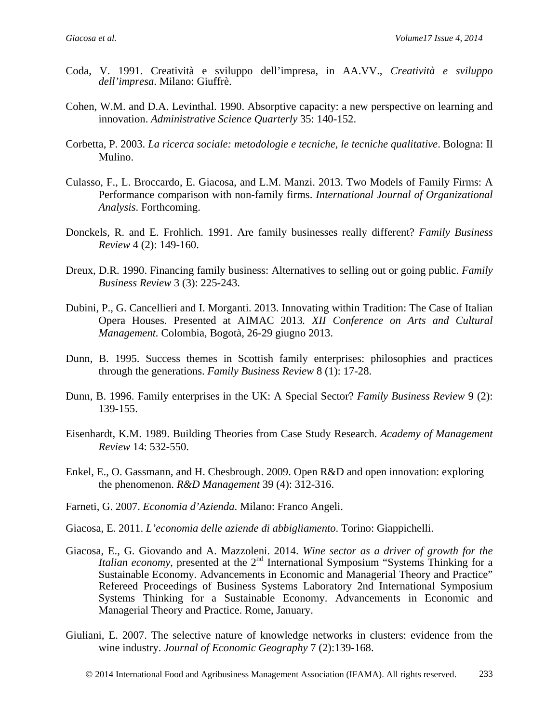- Coda, V. 1991. Creatività e sviluppo dell'impresa, in AA.VV., *Creatività e sviluppo dell'impresa*. Milano: Giuffrè.
- Cohen, W.M. and D.A. Levinthal. 1990. Absorptive capacity: a new perspective on learning and innovation. *Administrative Science Quarterly* 35: 140-152.
- Corbetta, P. 2003. *La ricerca sociale: metodologie e tecniche, le tecniche qualitative*. Bologna: Il Mulino.
- Culasso, F., L. Broccardo, E. Giacosa, and L.M. Manzi. 2013. Two Models of Family Firms: A Performance comparison with non-family firms. *International Journal of Organizational Analysis*. Forthcoming.
- Donckels, R. and E. Frohlich. 1991. Are family businesses really different? *Family Business Review* 4 (2): 149-160.
- Dreux, D.R. 1990. Financing family business: Alternatives to selling out or going public. *Family Business Review* 3 (3): 225-243.
- Dubini, P., G. Cancellieri and I. Morganti. 2013. Innovating within Tradition: The Case of Italian Opera Houses. Presented at AIMAC 2013*. [XII Conference on Arts and Cultural](http://aimac2013.uniandes.edu.co/)  [Management.](http://aimac2013.uniandes.edu.co/)* Colombia, Bogotà, 26-29 giugno 2013.
- Dunn, B. 1995. Success themes in Scottish family enterprises: philosophies and practices through the generations. *Family Business Review* 8 (1): 17-28.
- Dunn, B. 1996. Family enterprises in the UK: A Special Sector? *Family Business Review* 9 (2): 139-155.
- Eisenhardt, K.M. 1989. Building Theories from Case Study Research. *Academy of Management Review* 14: 532-550.
- Enkel, E., O. Gassmann, and H. Chesbrough. 2009. Open R&D and open innovation: exploring the phenomenon. *R&D Management* 39 (4): 312-316.
- Farneti, G. 2007. *Economia d'Azienda*. Milano: Franco Angeli.
- Giacosa, E. 2011. *L'economia delle aziende di abbigliamento*. Torino: Giappichelli.
- Giacosa, E., G. Giovando and A. Mazzoleni. 2014. *Wine sector as a driver of growth for the Italian economy*, presented at the 2<sup>nd</sup> International Symposium "Systems Thinking for a Sustainable Economy. Advancements in Economic and Managerial Theory and Practice" Refereed Proceedings of Business Systems Laboratory 2nd International Symposium Systems Thinking for a Sustainable Economy. Advancements in Economic and Managerial Theory and Practice. Rome, January.
- Giuliani, E. 2007. The selective nature of knowledge networks in clusters: evidence from the wine industry. *Journal of Economic Geography* 7 (2):139-168.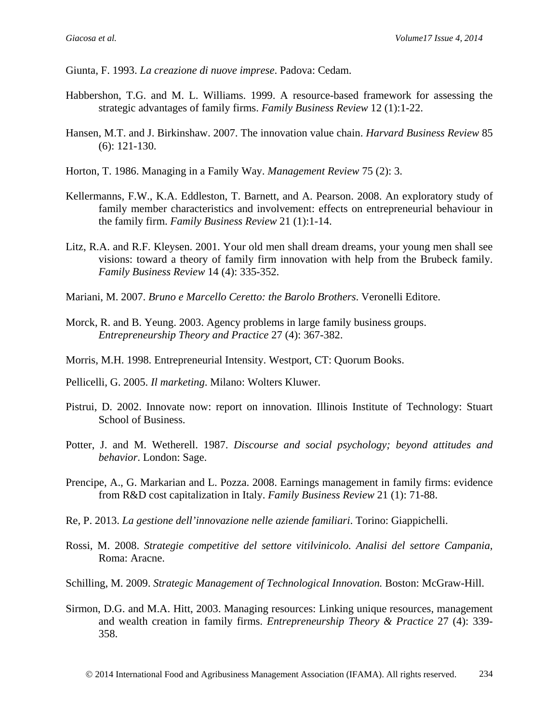Giunta, F. 1993. *La creazione di nuove imprese*. Padova: Cedam.

- Habbershon, T.G. and M. L. Williams. 1999. A resource-based framework for assessing the strategic advantages of family firms. *Family Business Review* 12 (1):1-22.
- Hansen, M.T. and J. Birkinshaw. 2007. The innovation value chain. *Harvard Business Review* 85 (6): 121-130.
- Horton, T. 1986. Managing in a Family Way. *Management Review* 75 (2): 3.
- Kellermanns, F.W., K.A. Eddleston, T. Barnett, and A. Pearson. 2008. An exploratory study of family member characteristics and involvement: effects on entrepreneurial behaviour in the family firm. *Family Business Review* 21 (1):1-14.
- Litz, R.A. and R.F. Kleysen. 2001. Your old men shall dream dreams, your young men shall see visions: toward a theory of family firm innovation with help from the Brubeck family. *Family Business Review* 14 (4): 335-352.
- Mariani, M. 2007. *Bruno e Marcello Ceretto: the Barolo Brothers*. Veronelli Editore.
- Morck, R. and B. Yeung. 2003. Agency problems in large family business groups. *Entrepreneurship Theory and Practice* 27 (4): 367-382.
- Morris, M.H. 1998. Entrepreneurial Intensity. Westport, CT: Quorum Books.
- Pellicelli, G. 2005. *Il marketing*. Milano: Wolters Kluwer.
- Pistrui, D. 2002. Innovate now: report on innovation. Illinois Institute of Technology: Stuart School of Business.
- Potter, J. and M. Wetherell. 1987. *Discourse and social psychology; beyond attitudes and behavior*. London: Sage.
- Prencipe, A., G. Markarian and L. Pozza. 2008. Earnings management in family firms: evidence from R&D cost capitalization in Italy. *Family Business Review* 21 (1): 71-88.
- Re, P. 2013. *La gestione dell'innovazione nelle aziende familiari*. Torino: Giappichelli.
- Rossi, M. 2008. *[Strategie competitive del settore vitilvinicolo. Analisi del settore Campania,](http://www.ibs.it/code/9788854816893/rossi-matteo/strategie-competitive-del-settore.html)*  Roma: Aracne.
- Schilling, M. 2009. *Strategic Management of Technological Innovation.* Boston: McGraw-Hill.
- Sirmon, D.G. and M.A. Hitt, 2003. Managing resources: Linking unique resources, management and wealth creation in family firms. *Entrepreneurship Theory & Practice* 27 (4): 339- 358.